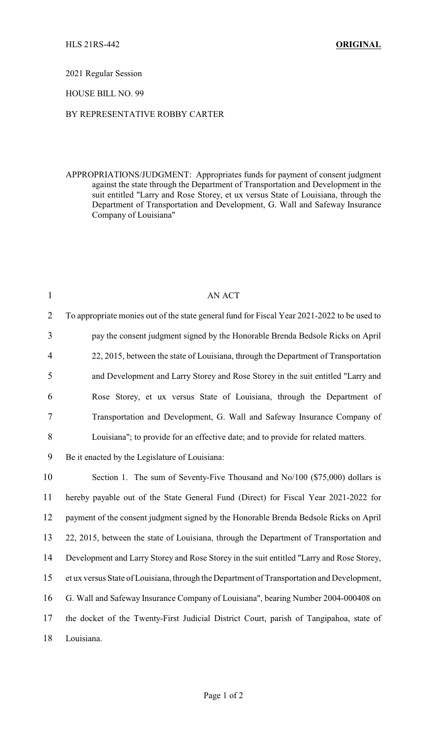2021 Regular Session

## HOUSE BILL NO. 99

## BY REPRESENTATIVE ROBBY CARTER

APPROPRIATIONS/JUDGMENT: Appropriates funds for payment of consent judgment against the state through the Department of Transportation and Development in the suit entitled "Larry and Rose Storey, et ux versus State of Louisiana, through the Department of Transportation and Development, G. Wall and Safeway Insurance Company of Louisiana"

| $\mathbf{1}$   | <b>AN ACT</b>                                                                               |  |  |  |
|----------------|---------------------------------------------------------------------------------------------|--|--|--|
| $\overline{2}$ | To appropriate monies out of the state general fund for Fiscal Year 2021-2022 to be used to |  |  |  |
| 3              | pay the consent judgment signed by the Honorable Brenda Bedsole Ricks on April              |  |  |  |
| $\overline{4}$ | 22, 2015, between the state of Louisiana, through the Department of Transportation          |  |  |  |
| 5              | and Development and Larry Storey and Rose Storey in the suit entitled "Larry and            |  |  |  |
| 6              | Rose Storey, et ux versus State of Louisiana, through the Department of                     |  |  |  |
| 7              | Transportation and Development, G. Wall and Safeway Insurance Company of                    |  |  |  |
| 8              | Louisiana"; to provide for an effective date; and to provide for related matters.           |  |  |  |
| 9              | Be it enacted by the Legislature of Louisiana:                                              |  |  |  |
| 10             | Section 1. The sum of Seventy-Five Thousand and No/100 (\$75,000) dollars is                |  |  |  |
| 11             | hereby payable out of the State General Fund (Direct) for Fiscal Year 2021-2022 for         |  |  |  |
| 12             | payment of the consent judgment signed by the Honorable Brenda Bedsole Ricks on April       |  |  |  |
| 13             | 22, 2015, between the state of Louisiana, through the Department of Transportation and      |  |  |  |
| 14             | Development and Larry Storey and Rose Storey in the suit entitled "Larry and Rose Storey,   |  |  |  |
| 15             | et ux versus State of Louisiana, through the Department of Transportation and Development,  |  |  |  |
| 16             | G. Wall and Safeway Insurance Company of Louisiana", bearing Number 2004-000408 on          |  |  |  |
| 17             | the docket of the Twenty-First Judicial District Court, parish of Tangipahoa, state of      |  |  |  |
| 18             | Louisiana.                                                                                  |  |  |  |